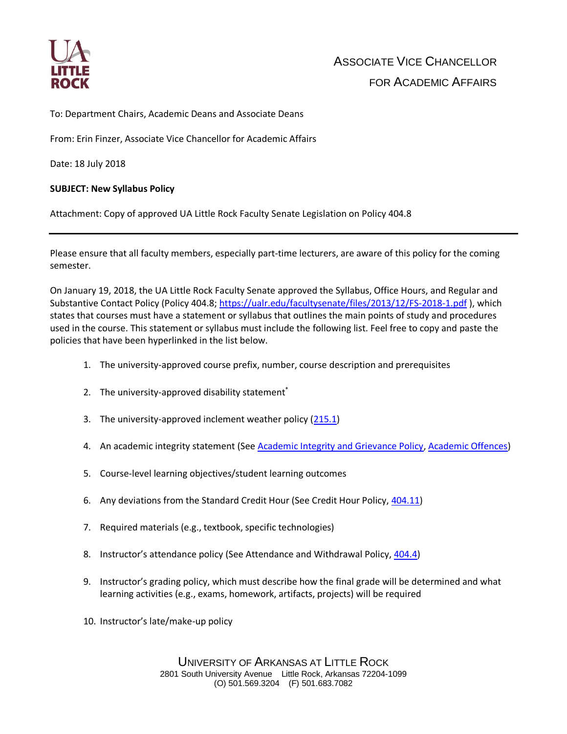

To: Department Chairs, Academic Deans and Associate Deans

From: Erin Finzer, Associate Vice Chancellor for Academic Affairs

Date: 18 July 2018

## **SUBJECT: New Syllabus Policy**

Attachment: Copy of approved UA Little Rock Faculty Senate Legislation on Policy 404.8

Please ensure that all faculty members, especially part-time lecturers, are aware of this policy for the coming semester.

On January 19, 2018, the UA Little Rock Faculty Senate approved the Syllabus, Office Hours, and Regular and Substantive Contact Policy (Policy 404.8;<https://ualr.edu/facultysenate/files/2013/12/FS-2018-1.pdf>), which states that courses must have a statement or syllabus that outlines the main points of study and procedures used in the course. This statement or syllabus must include the following list. Feel free to copy and paste the policies that have been hyperlinked in the list below.

- 1. The university-approved course prefix, number, course description and prerequisites
- 2. The university-approved disability statement<sup>\*</sup>
- 3. The university-approved inclement weather policy [\(215.1\)](https://ualr.edu/policy/home/admin/weather/)
- 4. An academic integrity statement (See [Academic Integrity and Grievance Policy,](https://ualr.edu/deanofstudents/section-vii-administration/academic-integrity-grievance-policy/) [Academic Offences\)](https://ualr.edu/deanofstudents/section-vii-administration/academic-offenses/)
- 5. Course-level learning objectives/student learning outcomes
- 6. Any deviations from the Standard Credit Hour (See Credit Hour Policy, [404.11\)](https://ualr.edu/facultysenate/files/2013/12/Policy404.11_rev1.pdf)
- 7. Required materials (e.g., textbook, specific technologies)
- 8. Instructor's attendance policy (See Attendance and Withdrawal Policy, [404.4\)](https://ualr.edu/policy/home/facstaff/class-attendance/)
- 9. Instructor's grading policy, which must describe how the final grade will be determined and what learning activities (e.g., exams, homework, artifacts, projects) will be required
- 10. Instructor's late/make-up policy

UNIVERSITY OF ARKANSAS AT LITTLE ROCK 2801 South University Avenue Little Rock, Arkansas 72204-1099 (O) 501.569.3204 (F) 501.683.7082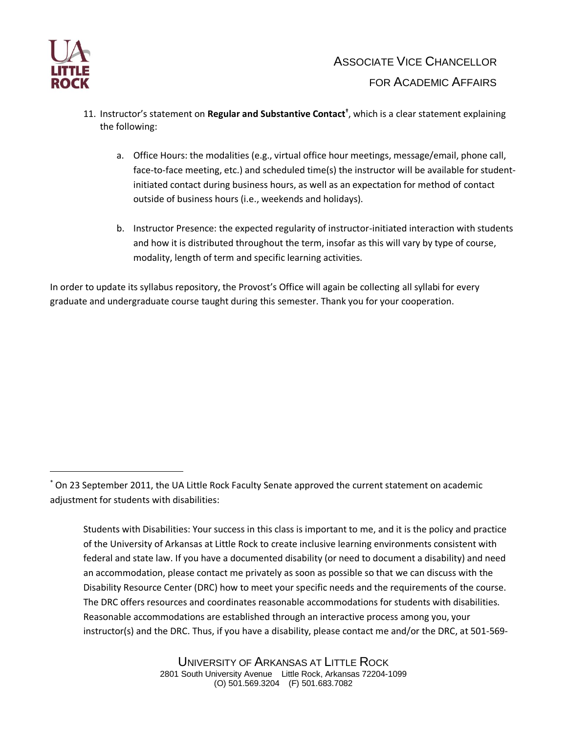

 $\overline{a}$ 

- 11. Instructor's statement on **Regular and Substantive Contact†** , which is a clear statement explaining the following:
	- a. Office Hours: the modalities (e.g., virtual office hour meetings, message/email, phone call, face-to-face meeting, etc.) and scheduled time(s) the instructor will be available for studentinitiated contact during business hours, as well as an expectation for method of contact outside of business hours (i.e., weekends and holidays).
	- b. Instructor Presence: the expected regularity of instructor-initiated interaction with students and how it is distributed throughout the term, insofar as this will vary by type of course, modality, length of term and specific learning activities.

In order to update its syllabus repository, the Provost's Office will again be collecting all syllabi for every graduate and undergraduate course taught during this semester. Thank you for your cooperation.

\* On 23 September 2011, the UA Little Rock Faculty Senate approved the current statement on academic adjustment for students with disabilities:

Students with Disabilities: Your success in this class is important to me, and it is the policy and practice of the University of Arkansas at Little Rock to create inclusive learning environments consistent with federal and state law. If you have a documented disability (or need to document a disability) and need an accommodation, please contact me privately as soon as possible so that we can discuss with the Disability Resource Center (DRC) how to meet your specific needs and the requirements of the course. The DRC offers resources and coordinates reasonable accommodations for students with disabilities. Reasonable accommodations are established through an interactive process among you, your instructor(s) and the DRC. Thus, if you have a disability, please contact me and/or the DRC, at 501-569-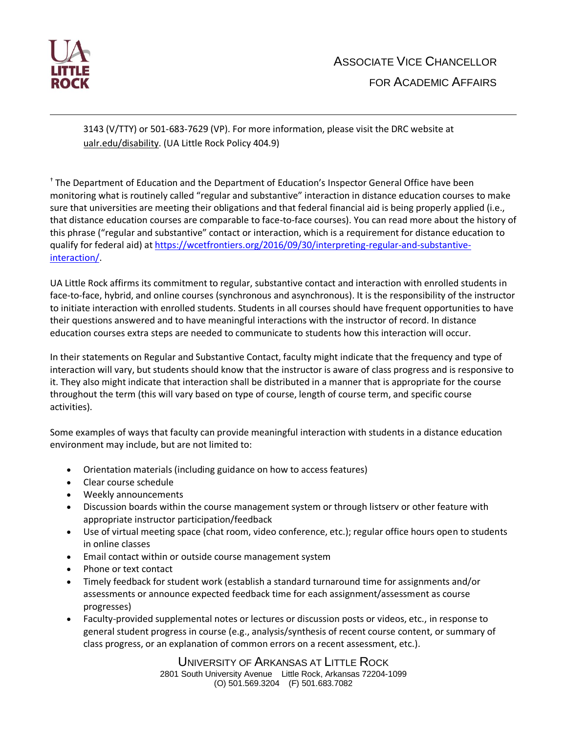

 $\overline{a}$ 

3143 (V/TTY) or 501-683-7629 (VP). For more information, please visit the DRC website at ualr.edu/disability. (UA Little Rock Policy 404.9)

† The Department of Education and the Department of Education's Inspector General Office have been monitoring what is routinely called "regular and substantive" interaction in distance education courses to make sure that universities are meeting their obligations and that federal financial aid is being properly applied (i.e., that distance education courses are comparable to face-to-face courses). You can read more about the history of this phrase ("regular and substantive" contact or interaction, which is a requirement for distance education to qualify for federal aid) a[t https://wcetfrontiers.org/2016/09/30/interpreting-regular-and-substantive](https://wcetfrontiers.org/2016/09/30/interpreting-regular-and-substantive-interaction/)[interaction/.](https://wcetfrontiers.org/2016/09/30/interpreting-regular-and-substantive-interaction/)

UA Little Rock affirms its commitment to regular, substantive contact and interaction with enrolled students in face-to-face, hybrid, and online courses (synchronous and asynchronous). It is the responsibility of the instructor to initiate interaction with enrolled students. Students in all courses should have frequent opportunities to have their questions answered and to have meaningful interactions with the instructor of record. In distance education courses extra steps are needed to communicate to students how this interaction will occur.

In their statements on Regular and Substantive Contact, faculty might indicate that the frequency and type of interaction will vary, but students should know that the instructor is aware of class progress and is responsive to it. They also might indicate that interaction shall be distributed in a manner that is appropriate for the course throughout the term (this will vary based on type of course, length of course term, and specific course activities).

Some examples of ways that faculty can provide meaningful interaction with students in a distance education environment may include, but are not limited to:

- Orientation materials (including guidance on how to access features)
- Clear course schedule
- Weekly announcements
- Discussion boards within the course management system or through listserv or other feature with appropriate instructor participation/feedback
- Use of virtual meeting space (chat room, video conference, etc.); regular office hours open to students in online classes
- Email contact within or outside course management system
- Phone or text contact
- Timely feedback for student work (establish a standard turnaround time for assignments and/or assessments or announce expected feedback time for each assignment/assessment as course progresses)
- Faculty-provided supplemental notes or lectures or discussion posts or videos, etc., in response to general student progress in course (e.g., analysis/synthesis of recent course content, or summary of class progress, or an explanation of common errors on a recent assessment, etc.).

UNIVERSITY OF ARKANSAS AT LITTLE ROCK 2801 South University Avenue Little Rock, Arkansas 72204-1099 (O) 501.569.3204 (F) 501.683.7082